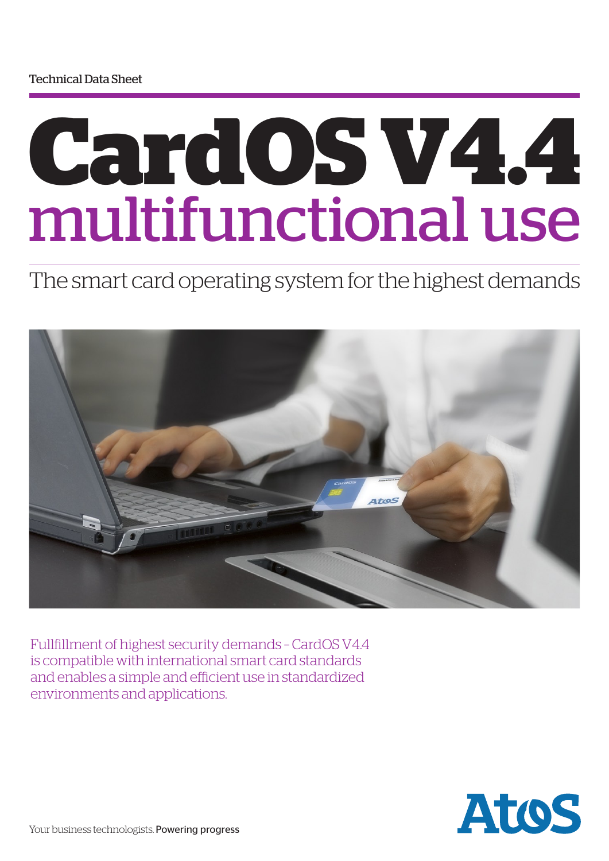# **CardOS V4.4** multifunctional use

The smart card operating system for the highest demands



Fullfillment of highest security demands – CardOS V4.4 is compatible with international smart card standards and enables a simple and efficient use in standardized environments and applications.

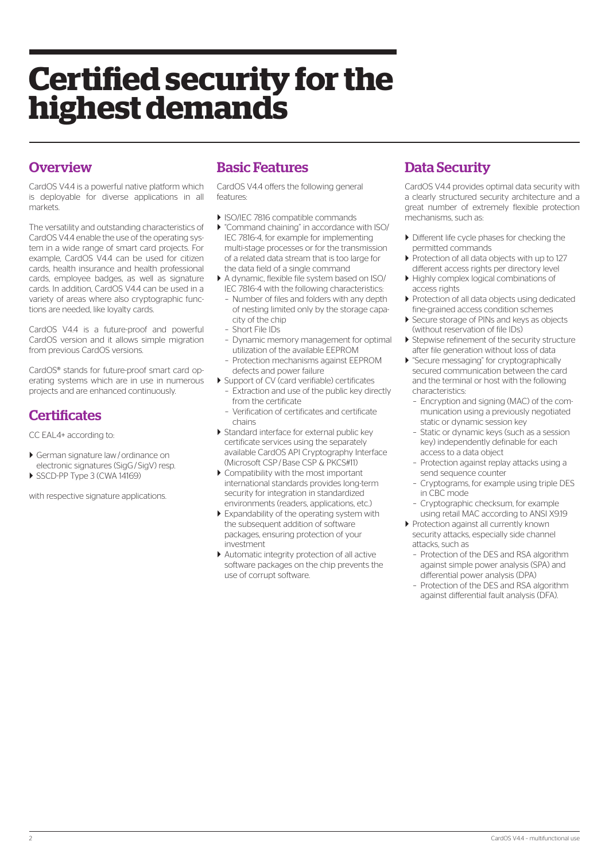## **Certified security for the highest demands**

#### **Overview**

CardOS V4.4 is a powerful native platform which is deployable for diverse applications in all markets.

The versatility and outstanding characteristics of CardOS V4.4 enable the use of the operating system in a wide range of smart card projects. For example, CardOS V4.4 can be used for citizen cards, health insurance and health professional cards, employee badges, as well as signature cards. In addition, CardOS V4.4 can be used in a variety of areas where also cryptographic functions are needed, like loyalty cards.

CardOS V4.4 is a future-proof and powerful CardOS version and it allows simple migration from previous CardOS versions.

CardOS® stands for future-proof smart card operating systems which are in use in numerous projects and are enhanced continuously.

#### **Certificates**

CC EAL4+ according to:

- ` German signature law/ordinance on electronic signatures (SigG/SigV) resp.
- SSCD-PP Type 3 (CWA 14169)

with respective signature applications.

#### Basic Features

CardOS V4.4 offers the following general features:

- ` ISO/IEC 7816 compatible commands
- ` "Command chaining" in accordance with ISO/ IEC 7816-4, for example for implementing multi-stage processes or for the transmission of a related data stream that is too large for the data field of a single command
- ` A dynamic, flexible file system based on ISO/ IEC 7816-4 with the following characteristics:
	- Number of files and folders with any depth of nesting limited only by the storage capacity of the chip
	- Short File IDs
	- Dynamic memory management for optimal utilization of the available EEPROM
- Protection mechanisms against EEPROM defects and power failure
- ` Support of CV (card verifiable) certificates – Extraction and use of the public key directly from the certificate
	- Verification of certificates and certificate chains
- ` Standard interface for external public key certificate services using the separately available CardOS API Cryptography Interface (Microsoft CSP/Base CSP & PKCS#11)
- ` Compatibility with the most important international standards provides long-term security for integration in standardized environments (readers, applications, etc.)
- $\blacktriangleright$  Expandability of the operating system with the subsequent addition of software packages, ensuring protection of your investment
- ` Automatic integrity protection of all active software packages on the chip prevents the use of corrupt software.

#### Data Security

CardOS V4.4 provides optimal data security with a clearly structured security architecture and a great number of extremely flexible protection mechanisms, such as:

- ` Different life cycle phases for checking the permitted commands
- ` Protection of all data objects with up to 127 different access rights per directory level
- $\blacktriangleright$  Highly complex logical combinations of access rights
- ▶ Protection of all data objects using dedicated fine-grained access condition schemes
- Secure storage of PINs and keys as objects (without reservation of file IDs)
- ▶ Stepwise refinement of the security structure after file generation without loss of data
- ` "Secure messaging" for cryptographically secured communication between the card and the terminal or host with the following characteristics:
	- Encryption and signing (MAC) of the communication using a previously negotiated static or dynamic session key
	- Static or dynamic keys (such as a session key) independently definable for each access to a data object
	- Protection against replay attacks using a send sequence counter
	- Cryptograms, for example using triple DES in CBC mode
	- Cryptographic checksum, for example using retail MAC according to ANSI X9.19
- ` Protection against all currently known security attacks, especially side channel attacks, such as
	- Protection of the DES and RSA algorithm against simple power analysis (SPA) and differential power analysis (DPA)
	- Protection of the DES and RSA algorithm against differential fault analysis (DFA).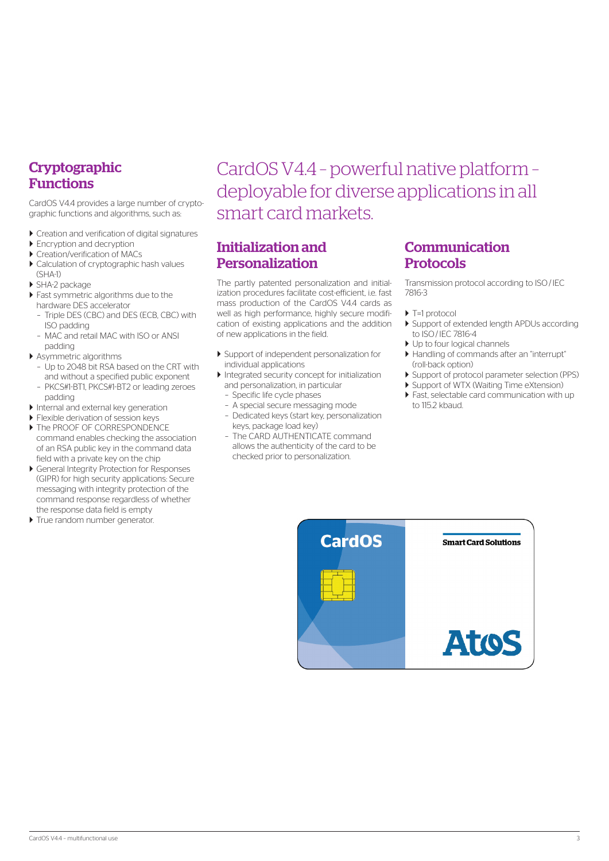#### **Cryptographic** Functions

CardOS V4.4 provides a large number of cryptographic functions and algorithms, such as:

- $\blacktriangleright$  Creation and verification of digital signatures
- $\blacktriangleright$  Encryption and decryption
- $\blacktriangleright$  Creation/verification of MACs
- $\blacktriangleright$  Calculation of cryptographic hash values (SHA-1)
- ` SHA-2 package
- $\blacktriangleright$  Fast symmetric algorithms due to the hardware DES accelerator
- Triple DES (CBC) and DES (ECB, CBC) with ISO padding
- MAC and retail MAC with ISO or ANSI padding
- $\blacktriangleright$  Asymmetric algorithms
- Up to 2048 bit RSA based on the CRT with and without a specified public exponent
- PKCS#1-BT1, PKCS#1-BT2 or leading zeroes padding
- $\blacktriangleright$  Internal and external key generation
- $\blacktriangleright$  Flexible derivation of session keys
- $\triangleright$  The PROOF OF CORRESPONDENCE command enables checking the association of an RSA public key in the command data field with a private key on the chip
- ` General Integrity Protection for Responses (GIPR) for high security applications: Secure messaging with integrity protection of the command response regardless of whether the response data field is empty
- $\blacktriangleright$  True random number generator.

### CardOS V4.4 – powerful native platform – deployable for diverse applications in all smart card markets.

#### Initialization and Personalization

The partly patented personalization and initialization procedures facilitate cost-efficient, i.e. fast mass production of the CardOS V4.4 cards as well as high performance, highly secure modification of existing applications and the addition of new applications in the field.

- ` Support of independent personalization for individual applications
- ` Integrated security concept for initialization and personalization, in particular
	- Specific life cycle phases
	- A special secure messaging mode
	- Dedicated keys (start key, personalization keys, package load key)
	- The CARD AUTHENTICATE command allows the authenticity of the card to be checked prior to personalization.

#### Communication Protocols

Transmission protocol according to ISO/IEC 7816-3

- $\blacktriangleright$  T=1 protocol
- ` Support of extended length APDUs according to ISO/IEC 7816-4
- Up to four logical channels
- ` Handling of commands after an "interrupt" (roll-back option)
- ` Support of protocol parameter selection (PPS)
- **Support of WTX (Waiting Time eXtension)**
- $\blacktriangleright$  Fast, selectable card communication with up to 115.2 kbaud.